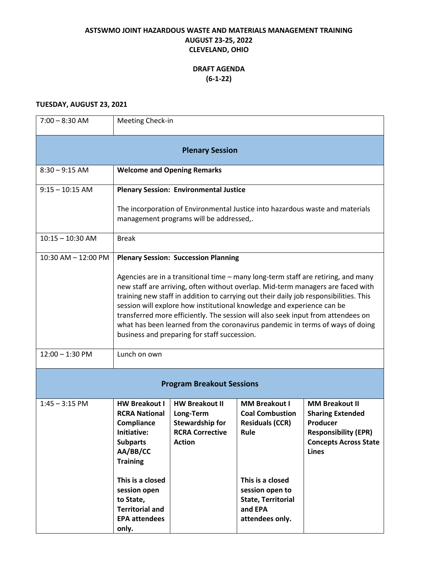## **ASTSWMO JOINT HAZARDOUS WASTE AND MATERIALS MANAGEMENT TRAINING AUGUST 23-25, 2022 CLEVELAND, OHIO**

## **DRAFT AGENDA (6-1-22)**

#### **TUESDAY, AUGUST 23, 2021**

| $7:00 - 8:30$ AM                 | Meeting Check-in                                                                                                                                                                                                                                                                                                                                                                                                                                                                                                                                                                                            |                                                                                                         |                                                                                                                                                                                    |                                                                                                                                             |
|----------------------------------|-------------------------------------------------------------------------------------------------------------------------------------------------------------------------------------------------------------------------------------------------------------------------------------------------------------------------------------------------------------------------------------------------------------------------------------------------------------------------------------------------------------------------------------------------------------------------------------------------------------|---------------------------------------------------------------------------------------------------------|------------------------------------------------------------------------------------------------------------------------------------------------------------------------------------|---------------------------------------------------------------------------------------------------------------------------------------------|
| <b>Plenary Session</b>           |                                                                                                                                                                                                                                                                                                                                                                                                                                                                                                                                                                                                             |                                                                                                         |                                                                                                                                                                                    |                                                                                                                                             |
| $8:30 - 9:15$ AM                 | <b>Welcome and Opening Remarks</b>                                                                                                                                                                                                                                                                                                                                                                                                                                                                                                                                                                          |                                                                                                         |                                                                                                                                                                                    |                                                                                                                                             |
| $9:15 - 10:15$ AM                | <b>Plenary Session: Environmental Justice</b>                                                                                                                                                                                                                                                                                                                                                                                                                                                                                                                                                               |                                                                                                         |                                                                                                                                                                                    |                                                                                                                                             |
|                                  | The incorporation of Environmental Justice into hazardous waste and materials<br>management programs will be addressed,.                                                                                                                                                                                                                                                                                                                                                                                                                                                                                    |                                                                                                         |                                                                                                                                                                                    |                                                                                                                                             |
| $10:15 - 10:30$ AM               | <b>Break</b>                                                                                                                                                                                                                                                                                                                                                                                                                                                                                                                                                                                                |                                                                                                         |                                                                                                                                                                                    |                                                                                                                                             |
| $10:30$ AM $- 12:00$ PM          | <b>Plenary Session: Succession Planning</b><br>Agencies are in a transitional time – many long-term staff are retiring, and many<br>new staff are arriving, often without overlap. Mid-term managers are faced with<br>training new staff in addition to carrying out their daily job responsibilities. This<br>session will explore how institutional knowledge and experience can be<br>transferred more efficiently. The session will also seek input from attendees on<br>what has been learned from the coronavirus pandemic in terms of ways of doing<br>business and preparing for staff succession. |                                                                                                         |                                                                                                                                                                                    |                                                                                                                                             |
| $12:00 - 1:30$ PM                | Lunch on own                                                                                                                                                                                                                                                                                                                                                                                                                                                                                                                                                                                                |                                                                                                         |                                                                                                                                                                                    |                                                                                                                                             |
| <b>Program Breakout Sessions</b> |                                                                                                                                                                                                                                                                                                                                                                                                                                                                                                                                                                                                             |                                                                                                         |                                                                                                                                                                                    |                                                                                                                                             |
| $1:45 - 3:15$ PM                 | <b>HW Breakout I</b><br><b>RCRA National</b><br>Compliance<br>Initiative:<br><b>Subparts</b><br>AA/BB/CC<br><b>Training</b><br>This is a closed<br>session open<br>to State,<br><b>Territorial and</b><br><b>EPA attendees</b><br>only.                                                                                                                                                                                                                                                                                                                                                                     | <b>HW Breakout II</b><br>Long-Term<br><b>Stewardship for</b><br><b>RCRA Corrective</b><br><b>Action</b> | <b>MM Breakout I</b><br><b>Coal Combustion</b><br><b>Residuals (CCR)</b><br>Rule<br>This is a closed<br>session open to<br><b>State, Territorial</b><br>and EPA<br>attendees only. | <b>MM Breakout II</b><br><b>Sharing Extended</b><br>Producer<br><b>Responsibility (EPR)</b><br><b>Concepts Across State</b><br><b>Lines</b> |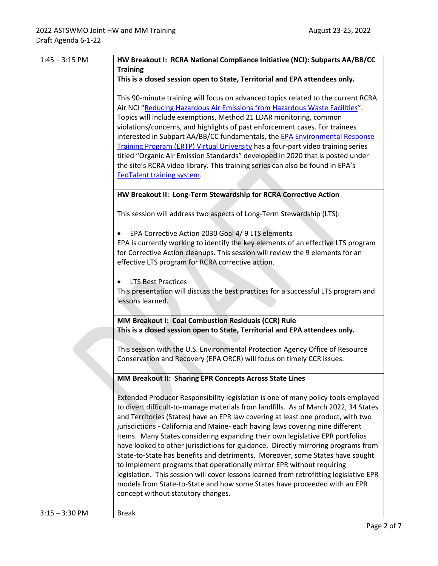| $1:45 - 3:15$ PM                                                                                                                                       | HW Breakout I: RCRA National Compliance Initiative (NCI): Subparts AA/BB/CC                                                                                                                                                                                                                                                                                                                                                                                                                                                                                                                                                                                                                                                                                                                                                                                                                 |  |  |
|--------------------------------------------------------------------------------------------------------------------------------------------------------|---------------------------------------------------------------------------------------------------------------------------------------------------------------------------------------------------------------------------------------------------------------------------------------------------------------------------------------------------------------------------------------------------------------------------------------------------------------------------------------------------------------------------------------------------------------------------------------------------------------------------------------------------------------------------------------------------------------------------------------------------------------------------------------------------------------------------------------------------------------------------------------------|--|--|
|                                                                                                                                                        | <b>Training</b>                                                                                                                                                                                                                                                                                                                                                                                                                                                                                                                                                                                                                                                                                                                                                                                                                                                                             |  |  |
|                                                                                                                                                        | This is a closed session open to State, Territorial and EPA attendees only.                                                                                                                                                                                                                                                                                                                                                                                                                                                                                                                                                                                                                                                                                                                                                                                                                 |  |  |
|                                                                                                                                                        | This 90-minute training will focus on advanced topics related to the current RCRA<br>Air NCI "Reducing Hazardous Air Emissions from Hazardous Waste Facilities".<br>Topics will include exemptions, Method 21 LDAR monitoring, common<br>violations/concerns, and highlights of past enforcement cases. For trainees<br>interested in Subpart AA/BB/CC fundamentals, the <b>EPA Environmental Response</b><br>Training Program (ERTP) Virtual University has a four-part video training series<br>titled "Organic Air Emission Standards" developed in 2020 that is posted under<br>the site's RCRA video library. This training series can also be found in EPA's                                                                                                                                                                                                                          |  |  |
|                                                                                                                                                        | FedTalent training system.                                                                                                                                                                                                                                                                                                                                                                                                                                                                                                                                                                                                                                                                                                                                                                                                                                                                  |  |  |
|                                                                                                                                                        |                                                                                                                                                                                                                                                                                                                                                                                                                                                                                                                                                                                                                                                                                                                                                                                                                                                                                             |  |  |
|                                                                                                                                                        | HW Breakout II: Long-Term Stewardship for RCRA Corrective Action                                                                                                                                                                                                                                                                                                                                                                                                                                                                                                                                                                                                                                                                                                                                                                                                                            |  |  |
|                                                                                                                                                        |                                                                                                                                                                                                                                                                                                                                                                                                                                                                                                                                                                                                                                                                                                                                                                                                                                                                                             |  |  |
|                                                                                                                                                        | This session will address two aspects of Long-Term Stewardship (LTS):                                                                                                                                                                                                                                                                                                                                                                                                                                                                                                                                                                                                                                                                                                                                                                                                                       |  |  |
|                                                                                                                                                        |                                                                                                                                                                                                                                                                                                                                                                                                                                                                                                                                                                                                                                                                                                                                                                                                                                                                                             |  |  |
|                                                                                                                                                        | EPA Corrective Action 2030 Goal 4/ 9 LTS elements                                                                                                                                                                                                                                                                                                                                                                                                                                                                                                                                                                                                                                                                                                                                                                                                                                           |  |  |
|                                                                                                                                                        | EPA is currently working to identify the key elements of an effective LTS program<br>for Corrective Action cleanups. This session will review the 9 elements for an                                                                                                                                                                                                                                                                                                                                                                                                                                                                                                                                                                                                                                                                                                                         |  |  |
|                                                                                                                                                        | effective LTS program for RCRA corrective action.                                                                                                                                                                                                                                                                                                                                                                                                                                                                                                                                                                                                                                                                                                                                                                                                                                           |  |  |
|                                                                                                                                                        |                                                                                                                                                                                                                                                                                                                                                                                                                                                                                                                                                                                                                                                                                                                                                                                                                                                                                             |  |  |
|                                                                                                                                                        | <b>LTS Best Practices</b>                                                                                                                                                                                                                                                                                                                                                                                                                                                                                                                                                                                                                                                                                                                                                                                                                                                                   |  |  |
|                                                                                                                                                        | This presentation will discuss the best practices for a successful LTS program and<br>lessons learned.                                                                                                                                                                                                                                                                                                                                                                                                                                                                                                                                                                                                                                                                                                                                                                                      |  |  |
|                                                                                                                                                        |                                                                                                                                                                                                                                                                                                                                                                                                                                                                                                                                                                                                                                                                                                                                                                                                                                                                                             |  |  |
|                                                                                                                                                        | MM Breakout I: Coal Combustion Residuals (CCR) Rule                                                                                                                                                                                                                                                                                                                                                                                                                                                                                                                                                                                                                                                                                                                                                                                                                                         |  |  |
|                                                                                                                                                        | This is a closed session open to State, Territorial and EPA attendees only.                                                                                                                                                                                                                                                                                                                                                                                                                                                                                                                                                                                                                                                                                                                                                                                                                 |  |  |
| This session with the U.S. Environmental Protection Agency Office of Resource<br>Conservation and Recovery (EPA ORCR) will focus on timely CCR issues. |                                                                                                                                                                                                                                                                                                                                                                                                                                                                                                                                                                                                                                                                                                                                                                                                                                                                                             |  |  |
|                                                                                                                                                        | MM Breakout II: Sharing EPR Concepts Across State Lines                                                                                                                                                                                                                                                                                                                                                                                                                                                                                                                                                                                                                                                                                                                                                                                                                                     |  |  |
|                                                                                                                                                        | Extended Producer Responsibility legislation is one of many policy tools employed<br>to divert difficult-to-manage materials from landfills. As of March 2022, 34 States<br>and Territories (States) have an EPR law covering at least one product, with two<br>jurisdictions - California and Maine- each having laws covering nine different<br>items. Many States considering expanding their own legislative EPR portfolios<br>have looked to other jurisdictions for guidance. Directly mirroring programs from<br>State-to-State has benefits and detriments. Moreover, some States have sought<br>to implement programs that operationally mirror EPR without requiring<br>legislation. This session will cover lessons learned from retrofitting legislative EPR<br>models from State-to-State and how some States have proceeded with an EPR<br>concept without statutory changes. |  |  |
| $3:15 - 3:30$ PM                                                                                                                                       | <b>Break</b>                                                                                                                                                                                                                                                                                                                                                                                                                                                                                                                                                                                                                                                                                                                                                                                                                                                                                |  |  |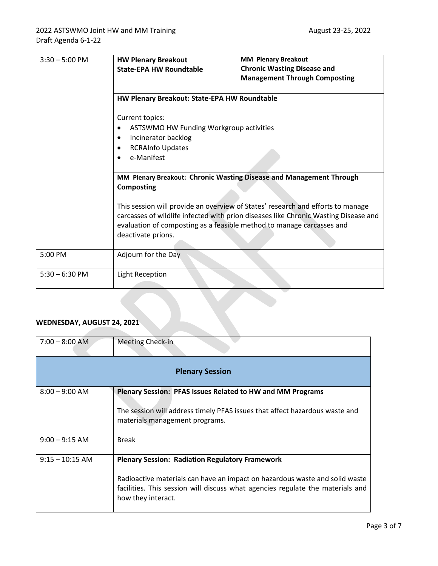| $3:30 - 5:00$ PM | <b>HW Plenary Breakout</b><br><b>State-EPA HW Roundtable</b>                                                                                                                                                      | <b>MM Plenary Breakout</b><br><b>Chronic Wasting Disease and</b><br><b>Management Through Composting</b>                                                               |  |
|------------------|-------------------------------------------------------------------------------------------------------------------------------------------------------------------------------------------------------------------|------------------------------------------------------------------------------------------------------------------------------------------------------------------------|--|
|                  | HW Plenary Breakout: State-EPA HW Roundtable<br>Current topics:<br>ASTSWMO HW Funding Workgroup activities<br>Incinerator backlog<br>$\bullet$<br><b>RCRAInfo Updates</b><br>$\bullet$<br>e-Manifest<br>$\bullet$ |                                                                                                                                                                        |  |
|                  | MM Plenary Breakout: Chronic Wasting Disease and Management Through<br><b>Composting</b>                                                                                                                          |                                                                                                                                                                        |  |
|                  | evaluation of composting as a feasible method to manage carcasses and<br>deactivate prions.                                                                                                                       | This session will provide an overview of States' research and efforts to manage<br>carcasses of wildlife infected with prion diseases like Chronic Wasting Disease and |  |
| 5:00 PM          | Adjourn for the Day                                                                                                                                                                                               |                                                                                                                                                                        |  |
| $5:30 - 6:30$ PM | Light Reception                                                                                                                                                                                                   |                                                                                                                                                                        |  |

# **WEDNESDAY, AUGUST 24, 2021**

| $7:00 - 8:00$ AM       | Meeting Check-in                                                                                                                                                                                                                              |  |  |  |
|------------------------|-----------------------------------------------------------------------------------------------------------------------------------------------------------------------------------------------------------------------------------------------|--|--|--|
| <b>Plenary Session</b> |                                                                                                                                                                                                                                               |  |  |  |
| $8:00 - 9:00$ AM       | <b>Plenary Session: PFAS Issues Related to HW and MM Programs</b><br>The session will address timely PFAS issues that affect hazardous waste and<br>materials management programs.                                                            |  |  |  |
| $9:00 - 9:15$ AM       | <b>Break</b>                                                                                                                                                                                                                                  |  |  |  |
| $9:15 - 10:15$ AM      | <b>Plenary Session: Radiation Regulatory Framework</b><br>Radioactive materials can have an impact on hazardous waste and solid waste<br>facilities. This session will discuss what agencies regulate the materials and<br>how they interact. |  |  |  |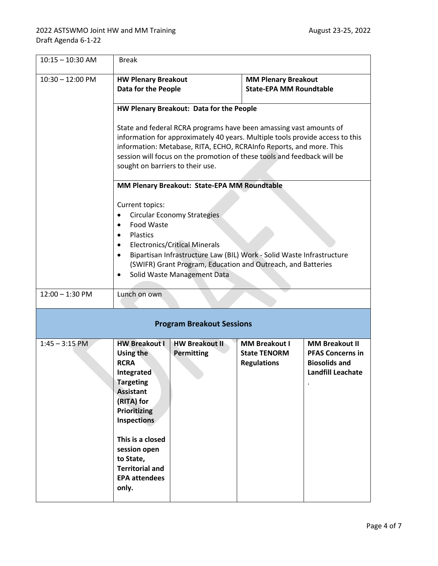| $10:15 - 10:30$ AM | <b>Break</b>                                                                                                                                                                                                                                                                                                                              |                                                                                                                                                                                                                                                    |                                                                   |                                                                                               |
|--------------------|-------------------------------------------------------------------------------------------------------------------------------------------------------------------------------------------------------------------------------------------------------------------------------------------------------------------------------------------|----------------------------------------------------------------------------------------------------------------------------------------------------------------------------------------------------------------------------------------------------|-------------------------------------------------------------------|-----------------------------------------------------------------------------------------------|
| $10:30 - 12:00$ PM | <b>HW Plenary Breakout</b><br><b>MM Plenary Breakout</b><br><b>Data for the People</b><br><b>State-EPA MM Roundtable</b>                                                                                                                                                                                                                  |                                                                                                                                                                                                                                                    |                                                                   |                                                                                               |
|                    | HW Plenary Breakout: Data for the People                                                                                                                                                                                                                                                                                                  |                                                                                                                                                                                                                                                    |                                                                   |                                                                                               |
|                    | State and federal RCRA programs have been amassing vast amounts of<br>information for approximately 40 years. Multiple tools provide access to this<br>information: Metabase, RITA, ECHO, RCRAInfo Reports, and more. This<br>session will focus on the promotion of these tools and feedback will be<br>sought on barriers to their use. |                                                                                                                                                                                                                                                    |                                                                   |                                                                                               |
|                    |                                                                                                                                                                                                                                                                                                                                           | MM Plenary Breakout: State-EPA MM Roundtable                                                                                                                                                                                                       |                                                                   |                                                                                               |
|                    | Current topics:<br>$\bullet$<br><b>Food Waste</b><br>$\bullet$<br>Plastics<br>$\bullet$<br>٠<br>٠                                                                                                                                                                                                                                         | <b>Circular Economy Strategies</b><br><b>Electronics/Critical Minerals</b><br>Bipartisan Infrastructure Law (BIL) Work - Solid Waste Infrastructure<br>(SWIFR) Grant Program, Education and Outreach, and Batteries<br>Solid Waste Management Data |                                                                   |                                                                                               |
| $12:00 - 1:30$ PM  | Lunch on own                                                                                                                                                                                                                                                                                                                              |                                                                                                                                                                                                                                                    |                                                                   |                                                                                               |
|                    |                                                                                                                                                                                                                                                                                                                                           | <b>Program Breakout Sessions</b>                                                                                                                                                                                                                   |                                                                   |                                                                                               |
| $1:45 - 3:15$ PM   | <b>HW Breakout I</b><br>Using the<br><b>RCRA</b><br>Integrated<br><b>Targeting</b><br><b>Assistant</b><br>(RITA) for<br><b>Prioritizing</b><br>Inspections<br>This is a closed<br>session open<br>to State,<br><b>Territorial and</b><br><b>EPA attendees</b><br>only.                                                                    | <b>HW Breakout II</b><br><b>Permitting</b>                                                                                                                                                                                                         | <b>MM Breakout I</b><br><b>State TENORM</b><br><b>Regulations</b> | <b>MM Breakout II</b><br><b>PFAS Concerns in</b><br><b>Biosolids and</b><br>Landfill Leachate |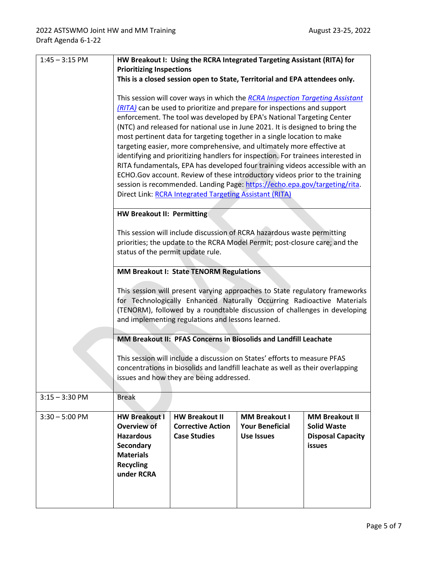| $1:45 - 3:15$ PM                     | HW Breakout I: Using the RCRA Integrated Targeting Assistant (RITA) for<br><b>Prioritizing Inspections</b><br>This is a closed session open to State, Territorial and EPA attendees only.<br>This session will cover ways in which the RCRA Inspection Targeting Assistant<br>(RITA) can be used to prioritize and prepare for inspections and support<br>enforcement. The tool was developed by EPA's National Targeting Center<br>(NTC) and released for national use in June 2021. It is designed to bring the<br>most pertinent data for targeting together in a single location to make<br>targeting easier, more comprehensive, and ultimately more effective at |                                                 |                                             |                                                          |
|--------------------------------------|------------------------------------------------------------------------------------------------------------------------------------------------------------------------------------------------------------------------------------------------------------------------------------------------------------------------------------------------------------------------------------------------------------------------------------------------------------------------------------------------------------------------------------------------------------------------------------------------------------------------------------------------------------------------|-------------------------------------------------|---------------------------------------------|----------------------------------------------------------|
|                                      | identifying and prioritizing handlers for inspection. For trainees interested in<br>RITA fundamentals, EPA has developed four training videos accessible with an<br>ECHO.Gov account. Review of these introductory videos prior to the training<br>session is recommended. Landing Page: https://echo.epa.gov/targeting/rita.<br>Direct Link: RCRA Integrated Targeting Assistant (RITA)                                                                                                                                                                                                                                                                               |                                                 |                                             |                                                          |
|                                      | <b>HW Breakout II: Permitting</b><br>This session will include discussion of RCRA hazardous waste permitting<br>priorities; the update to the RCRA Model Permit; post-closure care; and the<br>status of the permit update rule.                                                                                                                                                                                                                                                                                                                                                                                                                                       |                                                 |                                             |                                                          |
|                                      | MM Breakout I: State TENORM Regulations<br>This session will present varying approaches to State regulatory frameworks<br>for Technologically Enhanced Naturally Occurring Radioactive Materials<br>(TENORM), followed by a roundtable discussion of challenges in developing<br>and implementing regulations and lessons learned.                                                                                                                                                                                                                                                                                                                                     |                                                 |                                             |                                                          |
|                                      | MM Breakout II: PFAS Concerns in Biosolids and Landfill Leachate<br>This session will include a discussion on States' efforts to measure PFAS<br>concentrations in biosolids and landfill leachate as well as their overlapping<br>issues and how they are being addressed.                                                                                                                                                                                                                                                                                                                                                                                            |                                                 |                                             |                                                          |
| $3:15 - 3:30$ PM<br>$3:30 - 5:00$ PM | <b>Break</b><br><b>HW Breakout I</b>                                                                                                                                                                                                                                                                                                                                                                                                                                                                                                                                                                                                                                   | <b>HW Breakout II</b>                           | <b>MM Breakout I</b>                        | <b>MM Breakout II</b>                                    |
|                                      | <b>Overview of</b><br><b>Hazardous</b><br>Secondary<br><b>Materials</b><br><b>Recycling</b><br>under RCRA                                                                                                                                                                                                                                                                                                                                                                                                                                                                                                                                                              | <b>Corrective Action</b><br><b>Case Studies</b> | <b>Your Beneficial</b><br><b>Use Issues</b> | <b>Solid Waste</b><br><b>Disposal Capacity</b><br>issues |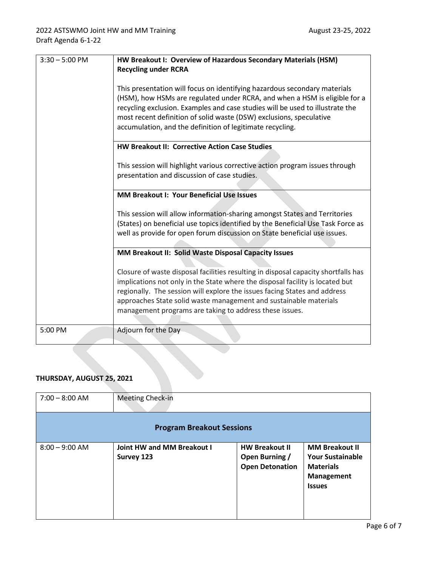| $3:30 - 5:00$ PM                                                                                                                                                                                                                                                                                    | HW Breakout I: Overview of Hazardous Secondary Materials (HSM)<br><b>Recycling under RCRA</b>                                                                                                                                                                                                                                                                                |  |                                                                                                                                                                                                                                                                                                                                                                                  |
|-----------------------------------------------------------------------------------------------------------------------------------------------------------------------------------------------------------------------------------------------------------------------------------------------------|------------------------------------------------------------------------------------------------------------------------------------------------------------------------------------------------------------------------------------------------------------------------------------------------------------------------------------------------------------------------------|--|----------------------------------------------------------------------------------------------------------------------------------------------------------------------------------------------------------------------------------------------------------------------------------------------------------------------------------------------------------------------------------|
|                                                                                                                                                                                                                                                                                                     | This presentation will focus on identifying hazardous secondary materials<br>(HSM), how HSMs are regulated under RCRA, and when a HSM is eligible for a<br>recycling exclusion. Examples and case studies will be used to illustrate the<br>most recent definition of solid waste (DSW) exclusions, speculative<br>accumulation, and the definition of legitimate recycling. |  |                                                                                                                                                                                                                                                                                                                                                                                  |
|                                                                                                                                                                                                                                                                                                     | HW Breakout II: Corrective Action Case Studies                                                                                                                                                                                                                                                                                                                               |  |                                                                                                                                                                                                                                                                                                                                                                                  |
|                                                                                                                                                                                                                                                                                                     | This session will highlight various corrective action program issues through<br>presentation and discussion of case studies.                                                                                                                                                                                                                                                 |  |                                                                                                                                                                                                                                                                                                                                                                                  |
|                                                                                                                                                                                                                                                                                                     | <b>MM Breakout I: Your Beneficial Use Issues</b>                                                                                                                                                                                                                                                                                                                             |  |                                                                                                                                                                                                                                                                                                                                                                                  |
| This session will allow information-sharing amongst States and Territories<br>(States) on beneficial use topics identified by the Beneficial Use Task Force as<br>well as provide for open forum discussion on State beneficial use issues.<br>MM Breakout II: Solid Waste Disposal Capacity Issues |                                                                                                                                                                                                                                                                                                                                                                              |  |                                                                                                                                                                                                                                                                                                                                                                                  |
|                                                                                                                                                                                                                                                                                                     |                                                                                                                                                                                                                                                                                                                                                                              |  | Closure of waste disposal facilities resulting in disposal capacity shortfalls has<br>implications not only in the State where the disposal facility is located but<br>regionally. The session will explore the issues facing States and address<br>approaches State solid waste management and sustainable materials<br>management programs are taking to address these issues. |
| 5:00 PM                                                                                                                                                                                                                                                                                             | Adjourn for the Day                                                                                                                                                                                                                                                                                                                                                          |  |                                                                                                                                                                                                                                                                                                                                                                                  |

## **THURSDAY, AUGUST 25, 2021**

| $7:00 - 8:00$ AM                 | <b>Meeting Check-in</b>                  |                                                                   |                                                                                                            |
|----------------------------------|------------------------------------------|-------------------------------------------------------------------|------------------------------------------------------------------------------------------------------------|
| <b>Program Breakout Sessions</b> |                                          |                                                                   |                                                                                                            |
| $8:00 - 9:00$ AM                 | Joint HW and MM Breakout I<br>Survey 123 | <b>HW Breakout II</b><br>Open Burning /<br><b>Open Detonation</b> | <b>MM Breakout II</b><br><b>Your Sustainable</b><br><b>Materials</b><br><b>Management</b><br><b>Issues</b> |